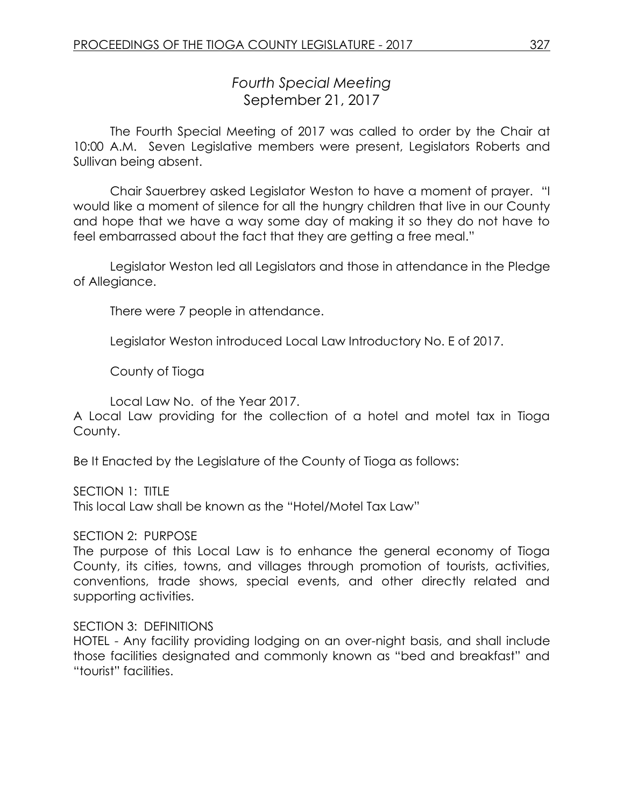# *Fourth Special Meeting* September 21, 2017

The Fourth Special Meeting of 2017 was called to order by the Chair at 10:00 A.M. Seven Legislative members were present, Legislators Roberts and Sullivan being absent.

Chair Sauerbrey asked Legislator Weston to have a moment of prayer. "I would like a moment of silence for all the hungry children that live in our County and hope that we have a way some day of making it so they do not have to feel embarrassed about the fact that they are getting a free meal."

Legislator Weston led all Legislators and those in attendance in the Pledge of Allegiance.

There were 7 people in attendance.

Legislator Weston introduced Local Law Introductory No. E of 2017.

County of Tioga

Local Law No. of the Year 2017.

A Local Law providing for the collection of a hotel and motel tax in Tioga County.

Be It Enacted by the Legislature of the County of Tioga as follows:

SECTION 1: TITLE

This local Law shall be known as the "Hotel/Motel Tax Law"

#### SECTION 2: PURPOSE

The purpose of this Local Law is to enhance the general economy of Tioga County, its cities, towns, and villages through promotion of tourists, activities, conventions, trade shows, special events, and other directly related and supporting activities.

#### SECTION 3: DEFINITIONS

HOTEL - Any facility providing lodging on an over-night basis, and shall include those facilities designated and commonly known as "bed and breakfast" and "tourist" facilities.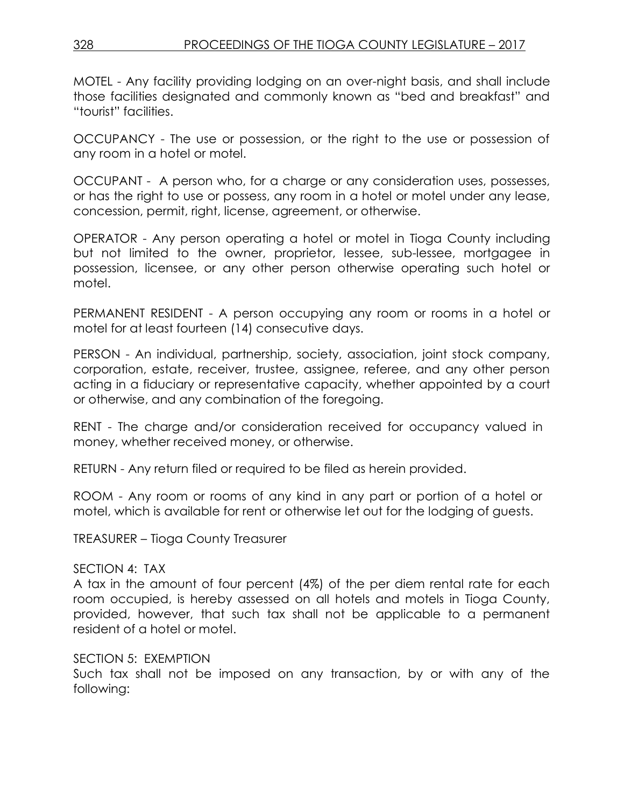MOTEL - Any facility providing lodging on an over-night basis, and shall include those facilities designated and commonly known as "bed and breakfast" and "tourist" facilities.

OCCUPANCY - The use or possession, or the right to the use or possession of any room in a hotel or motel.

OCCUPANT - A person who, for a charge or any consideration uses, possesses, or has the right to use or possess, any room in a hotel or motel under any lease, concession, permit, right, license, agreement, or otherwise.

OPERATOR - Any person operating a hotel or motel in Tioga County including but not limited to the owner, proprietor, lessee, sub-lessee, mortgagee in possession, licensee, or any other person otherwise operating such hotel or motel.

PERMANENT RESIDENT - A person occupying any room or rooms in a hotel or motel for at least fourteen (14) consecutive days.

PERSON - An individual, partnership, society, association, joint stock company, corporation, estate, receiver, trustee, assignee, referee, and any other person acting in a fiduciary or representative capacity, whether appointed by a court or otherwise, and any combination of the foregoing.

RENT - The charge and/or consideration received for occupancy valued in money, whether received money, or otherwise.

RETURN - Any return filed or required to be filed as herein provided.

ROOM - Any room or rooms of any kind in any part or portion of a hotel or motel, which is available for rent or otherwise let out for the lodging of guests.

TREASURER – Tioga County Treasurer

#### SECTION 4: TAX

A tax in the amount of four percent (4%) of the per diem rental rate for each room occupied, is hereby assessed on all hotels and motels in Tioga County, provided, however, that such tax shall not be applicable to a permanent resident of a hotel or motel.

#### SECTION 5: EXEMPTION

Such tax shall not be imposed on any transaction, by or with any of the following: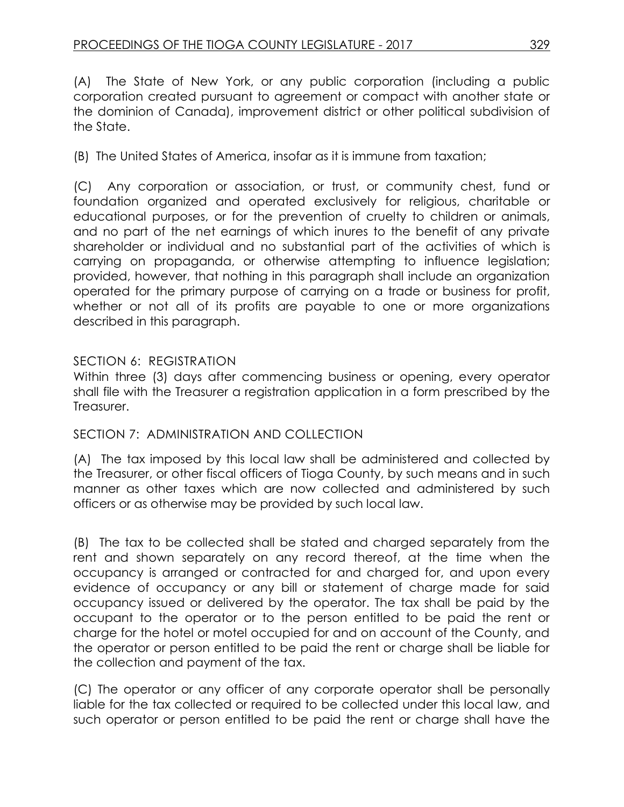(A) The State of New York, or any public corporation (including a public corporation created pursuant to agreement or compact with another state or the dominion of Canada), improvement district or other political subdivision of the State.

(B) The United States of America, insofar as it is immune from taxation;

(C) Any corporation or association, or trust, or community chest, fund or foundation organized and operated exclusively for religious, charitable or educational purposes, or for the prevention of cruelty to children or animals, and no part of the net earnings of which inures to the benefit of any private shareholder or individual and no substantial part of the activities of which is carrying on propaganda, or otherwise attempting to influence legislation; provided, however, that nothing in this paragraph shall include an organization operated for the primary purpose of carrying on a trade or business for profit, whether or not all of its profits are payable to one or more organizations described in this paragraph.

# SECTION 6: REGISTRATION

Within three (3) days after commencing business or opening, every operator shall file with the Treasurer a registration application in a form prescribed by the Treasurer.

# SECTION 7: ADMINISTRATION AND COLLECTION

(A) The tax imposed by this local law shall be administered and collected by the Treasurer, or other fiscal officers of Tioga County, by such means and in such manner as other taxes which are now collected and administered by such officers or as otherwise may be provided by such local law.

(B) The tax to be collected shall be stated and charged separately from the rent and shown separately on any record thereof, at the time when the occupancy is arranged or contracted for and charged for, and upon every evidence of occupancy or any bill or statement of charge made for said occupancy issued or delivered by the operator. The tax shall be paid by the occupant to the operator or to the person entitled to be paid the rent or charge for the hotel or motel occupied for and on account of the County, and the operator or person entitled to be paid the rent or charge shall be liable for the collection and payment of the tax.

(C) The operator or any officer of any corporate operator shall be personally liable for the tax collected or required to be collected under this local law, and such operator or person entitled to be paid the rent or charge shall have the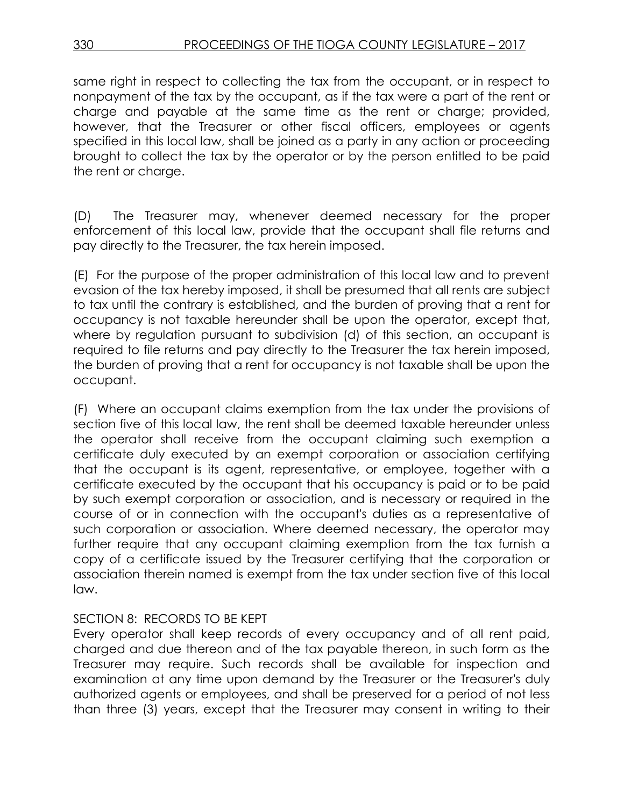same right in respect to collecting the tax from the occupant, or in respect to nonpayment of the tax by the occupant, as if the tax were a part of the rent or charge and payable at the same time as the rent or charge; provided, however, that the Treasurer or other fiscal officers, employees or agents specified in this local law, shall be joined as a party in any action or proceeding brought to collect the tax by the operator or by the person entitled to be paid the rent or charge.

(D) The Treasurer may, whenever deemed necessary for the proper enforcement of this local law, provide that the occupant shall file returns and pay directly to the Treasurer, the tax herein imposed.

(E) For the purpose of the proper administration of this local law and to prevent evasion of the tax hereby imposed, it shall be presumed that all rents are subject to tax until the contrary is established, and the burden of proving that a rent for occupancy is not taxable hereunder shall be upon the operator, except that, where by regulation pursuant to subdivision (d) of this section, an occupant is required to file returns and pay directly to the Treasurer the tax herein imposed, the burden of proving that a rent for occupancy is not taxable shall be upon the occupant.

(F) Where an occupant claims exemption from the tax under the provisions of section five of this local law, the rent shall be deemed taxable hereunder unless the operator shall receive from the occupant claiming such exemption a certificate duly executed by an exempt corporation or association certifying that the occupant is its agent, representative, or employee, together with a certificate executed by the occupant that his occupancy is paid or to be paid by such exempt corporation or association, and is necessary or required in the course of or in connection with the occupant's duties as a representative of such corporation or association. Where deemed necessary, the operator may further require that any occupant claiming exemption from the tax furnish a copy of a certificate issued by the Treasurer certifying that the corporation or association therein named is exempt from the tax under section five of this local law.

#### SECTION 8: RECORDS TO BE KEPT

Every operator shall keep records of every occupancy and of all rent paid, charged and due thereon and of the tax payable thereon, in such form as the Treasurer may require. Such records shall be available for inspection and examination at any time upon demand by the Treasurer or the Treasurer's duly authorized agents or employees, and shall be preserved for a period of not less than three (3) years, except that the Treasurer may consent in writing to their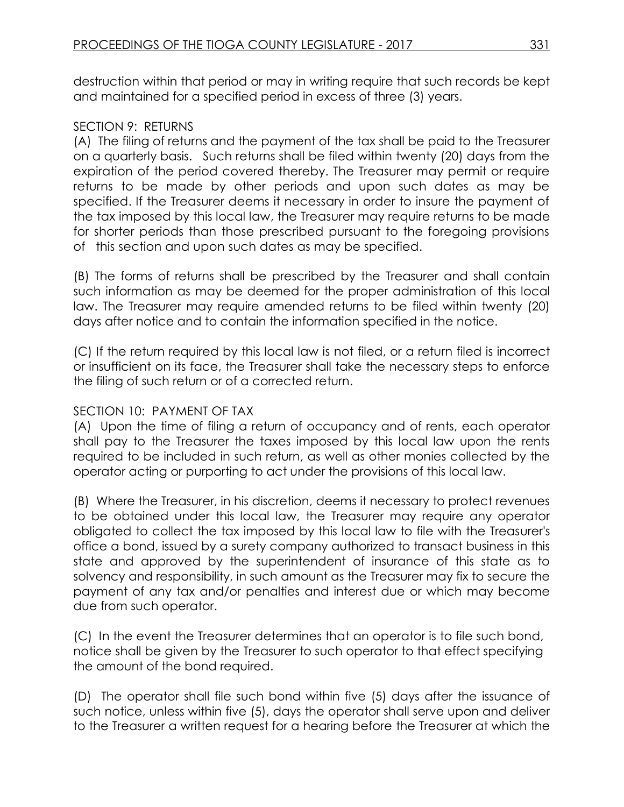destruction within that period or may in writing require that such records be kept and maintained for a specified period in excess of three (3) years.

## SECTION 9: RETURNS

(A) The filing of returns and the payment of the tax shall be paid to the Treasurer on a quarterly basis. Such returns shall be filed within twenty (20) days from the expiration of the period covered thereby. The Treasurer may permit or require returns to be made by other periods and upon such dates as may be specified. If the Treasurer deems it necessary in order to insure the payment of the tax imposed by this local law, the Treasurer may require returns to be made for shorter periods than those prescribed pursuant to the foregoing provisions of this section and upon such dates as may be specified.

(B) The forms of returns shall be prescribed by the Treasurer and shall contain such information as may be deemed for the proper administration of this local law. The Treasurer may require amended returns to be filed within twenty (20) days after notice and to contain the information specified in the notice.

(C) If the return required by this local law is not filed, or a return filed is incorrect or insufficient on its face, the Treasurer shall take the necessary steps to enforce the filing of such return or of a corrected return.

# SECTION 10: PAYMENT OF TAX

(A) Upon the time of filing a return of occupancy and of rents, each operator shall pay to the Treasurer the taxes imposed by this local law upon the rents required to be included in such return, as well as other monies collected by the operator acting or purporting to act under the provisions of this local law.

(B) Where the Treasurer, in his discretion, deems it necessary to protect revenues to be obtained under this local law, the Treasurer may require any operator obligated to collect the tax imposed by this local law to file with the Treasurer's office a bond, issued by a surety company authorized to transact business in this state and approved by the superintendent of insurance of this state as to solvency and responsibility, in such amount as the Treasurer may fix to secure the payment of any tax and/or penalties and interest due or which may become due from such operator.

(C) In the event the Treasurer determines that an operator is to file such bond, notice shall be given by the Treasurer to such operator to that effect specifying the amount of the bond required.

(D) The operator shall file such bond within five (5) days after the issuance of such notice, unless within five (5), days the operator shall serve upon and deliver to the Treasurer a written request for a hearing before the Treasurer at which the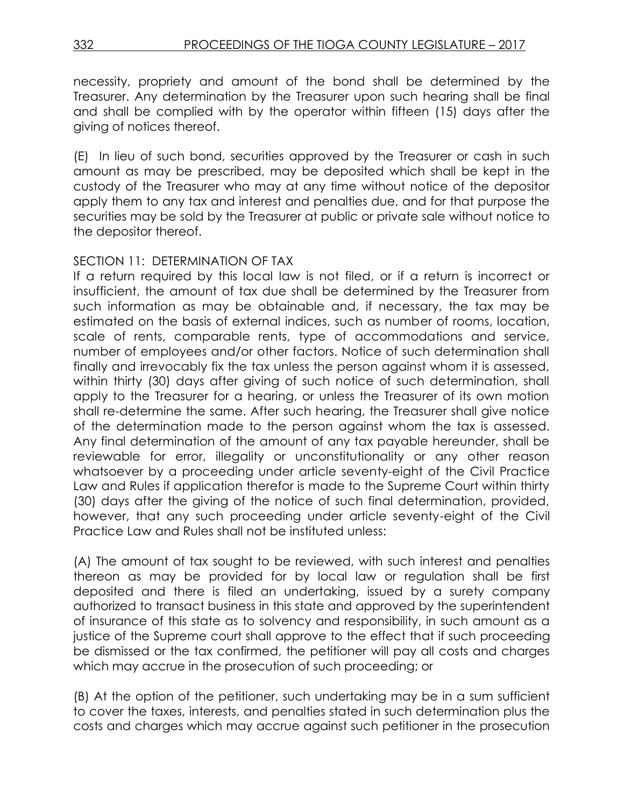necessity, propriety and amount of the bond shall be determined by the Treasurer. Any determination by the Treasurer upon such hearing shall be final and shall be complied with by the operator within fifteen (15) days after the giving of notices thereof.

(E) In lieu of such bond, securities approved by the Treasurer or cash in such amount as may be prescribed, may be deposited which shall be kept in the custody of the Treasurer who may at any time without notice of the depositor apply them to any tax and interest and penalties due, and for that purpose the securities may be sold by the Treasurer at public or private sale without notice to the depositor thereof.

### SECTION 11: DETERMINATION OF TAX

If a return required by this local law is not filed, or if a return is incorrect or insufficient, the amount of tax due shall be determined by the Treasurer from such information as may be obtainable and, if necessary, the tax may be estimated on the basis of external indices, such as number of rooms, location, scale of rents, comparable rents, type of accommodations and service, number of employees and/or other factors. Notice of such determination shall finally and irrevocably fix the tax unless the person against whom it is assessed, within thirty (30) days after giving of such notice of such determination, shall apply to the Treasurer for a hearing, or unless the Treasurer of its own motion shall re-determine the same. After such hearing, the Treasurer shall give notice of the determination made to the person against whom the tax is assessed. Any final determination of the amount of any tax payable hereunder, shall be reviewable for error, illegality or unconstitutionality or any other reason whatsoever by a proceeding under article seventy-eight of the Civil Practice Law and Rules if application therefor is made to the Supreme Court within thirty (30) days after the giving of the notice of such final determination, provided, however, that any such proceeding under article seventy-eight of the Civil Practice Law and Rules shall not be instituted unless:

(A) The amount of tax sought to be reviewed, with such interest and penalties thereon as may be provided for by local law or regulation shall be first deposited and there is filed an undertaking, issued by a surety company authorized to transact business in this state and approved by the superintendent of insurance of this state as to solvency and responsibility, in such amount as a justice of the Supreme court shall approve to the effect that if such proceeding be dismissed or the tax confirmed, the petitioner will pay all costs and charges which may accrue in the prosecution of such proceeding; or

(B) At the option of the petitioner, such undertaking may be in a sum sufficient to cover the taxes, interests, and penalties stated in such determination plus the costs and charges which may accrue against such petitioner in the prosecution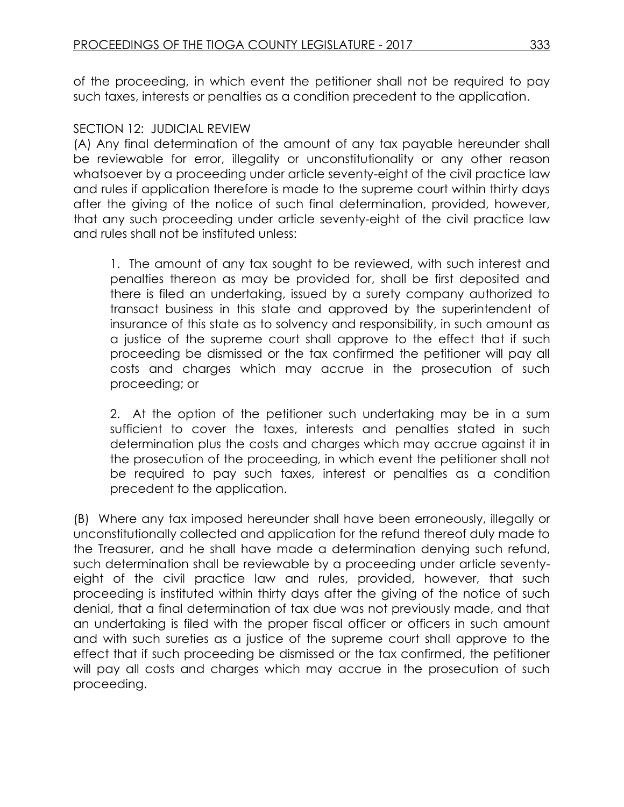of the proceeding, in which event the petitioner shall not be required to pay such taxes, interests or penalties as a condition precedent to the application.

#### SECTION 12: JUDICIAL REVIEW

(A) Any final determination of the amount of any tax payable hereunder shall be reviewable for error, illegality or unconstitutionality or any other reason whatsoever by a proceeding under article seventy-eight of the civil practice law and rules if application therefore is made to the supreme court within thirty days after the giving of the notice of such final determination, provided, however, that any such proceeding under article seventy-eight of the civil practice law and rules shall not be instituted unless:

1. The amount of any tax sought to be reviewed, with such interest and penalties thereon as may be provided for, shall be first deposited and there is filed an undertaking, issued by a surety company authorized to transact business in this state and approved by the superintendent of insurance of this state as to solvency and responsibility, in such amount as a justice of the supreme court shall approve to the effect that if such proceeding be dismissed or the tax confirmed the petitioner will pay all costs and charges which may accrue in the prosecution of such proceeding; or

2. At the option of the petitioner such undertaking may be in a sum sufficient to cover the taxes, interests and penalties stated in such determination plus the costs and charges which may accrue against it in the prosecution of the proceeding, in which event the petitioner shall not be required to pay such taxes, interest or penalties as a condition precedent to the application.

(B) Where any tax imposed hereunder shall have been erroneously, illegally or unconstitutionally collected and application for the refund thereof duly made to the Treasurer, and he shall have made a determination denying such refund, such determination shall be reviewable by a proceeding under article seventyeight of the civil practice law and rules, provided, however, that such proceeding is instituted within thirty days after the giving of the notice of such denial, that a final determination of tax due was not previously made, and that an undertaking is filed with the proper fiscal officer or officers in such amount and with such sureties as a justice of the supreme court shall approve to the effect that if such proceeding be dismissed or the tax confirmed, the petitioner will pay all costs and charges which may accrue in the prosecution of such proceeding.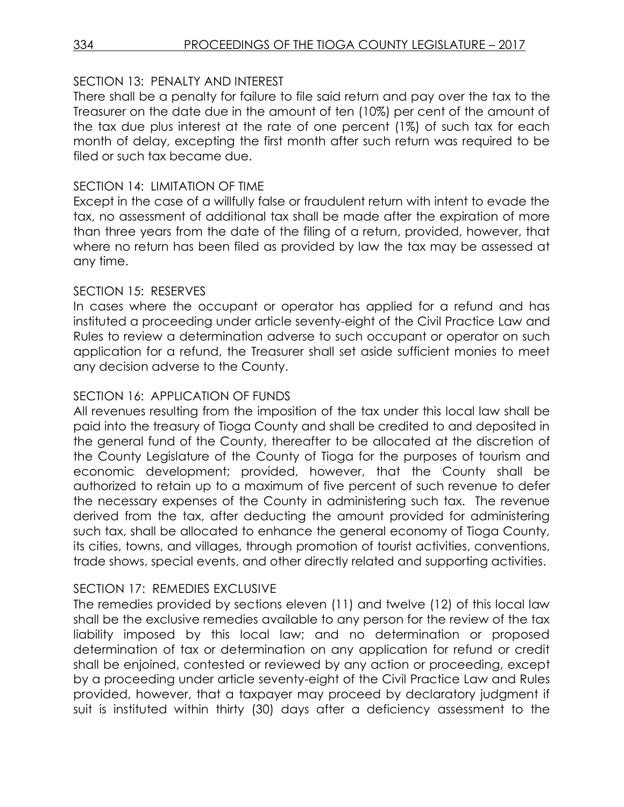## SECTION 13: PENALTY AND INTEREST

There shall be a penalty for failure to file said return and pay over the tax to the Treasurer on the date due in the amount of ten (10%) per cent of the amount of the tax due plus interest at the rate of one percent (1%) of such tax for each month of delay, excepting the first month after such return was required to be filed or such tax became due.

## SECTION 14: LIMITATION OF TIME

Except in the case of a willfully false or fraudulent return with intent to evade the tax, no assessment of additional tax shall be made after the expiration of more than three years from the date of the filing of a return, provided, however, that where no return has been filed as provided by law the tax may be assessed at any time.

### SECTION 15: RESERVES

In cases where the occupant or operator has applied for a refund and has instituted a proceeding under article seventy-eight of the Civil Practice Law and Rules to review a determination adverse to such occupant or operator on such application for a refund, the Treasurer shall set aside sufficient monies to meet any decision adverse to the County.

# SECTION 16: APPLICATION OF FUNDS

All revenues resulting from the imposition of the tax under this local law shall be paid into the treasury of Tioga County and shall be credited to and deposited in the general fund of the County, thereafter to be allocated at the discretion of the County Legislature of the County of Tioga for the purposes of tourism and economic development; provided, however, that the County shall be authorized to retain up to a maximum of five percent of such revenue to defer the necessary expenses of the County in administering such tax. The revenue derived from the tax, after deducting the amount provided for administering such tax, shall be allocated to enhance the general economy of Tioga County, its cities, towns, and villages, through promotion of tourist activities, conventions, trade shows, special events, and other directly related and supporting activities.

## SECTION 17: REMEDIES EXCLUSIVE

The remedies provided by sections eleven (11) and twelve (12) of this local law shall be the exclusive remedies available to any person for the review of the tax liability imposed by this local law; and no determination or proposed determination of tax or determination on any application for refund or credit shall be enjoined, contested or reviewed by any action or proceeding, except by a proceeding under article seventy-eight of the Civil Practice Law and Rules provided, however, that a taxpayer may proceed by declaratory judgment if suit is instituted within thirty (30) days after a deficiency assessment to the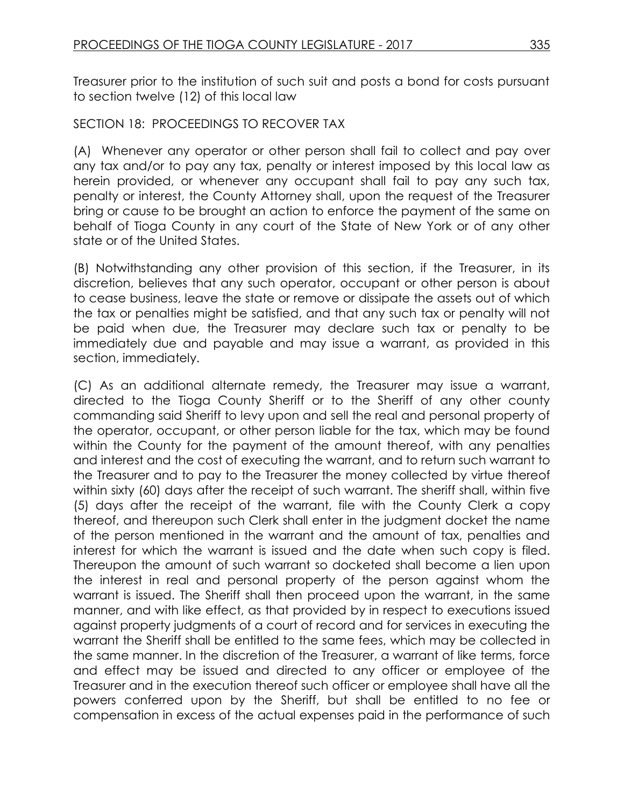Treasurer prior to the institution of such suit and posts a bond for costs pursuant to section twelve (12) of this local law

#### SECTION 18: PROCEEDINGS TO RECOVER TAX

(A) Whenever any operator or other person shall fail to collect and pay over any tax and/or to pay any tax, penalty or interest imposed by this local law as herein provided, or whenever any occupant shall fail to pay any such tax, penalty or interest, the County Attorney shall, upon the request of the Treasurer bring or cause to be brought an action to enforce the payment of the same on behalf of Tioga County in any court of the State of New York or of any other state or of the United States.

(B) Notwithstanding any other provision of this section, if the Treasurer, in its discretion, believes that any such operator, occupant or other person is about to cease business, leave the state or remove or dissipate the assets out of which the tax or penalties might be satisfied, and that any such tax or penalty will not be paid when due, the Treasurer may declare such tax or penalty to be immediately due and payable and may issue a warrant, as provided in this section, immediately.

(C) As an additional alternate remedy, the Treasurer may issue a warrant, directed to the Tioga County Sheriff or to the Sheriff of any other county commanding said Sheriff to levy upon and sell the real and personal property of the operator, occupant, or other person liable for the tax, which may be found within the County for the payment of the amount thereof, with any penalties and interest and the cost of executing the warrant, and to return such warrant to the Treasurer and to pay to the Treasurer the money collected by virtue thereof within sixty (60) days after the receipt of such warrant. The sheriff shall, within five (5) days after the receipt of the warrant, file with the County Clerk a copy thereof, and thereupon such Clerk shall enter in the judgment docket the name of the person mentioned in the warrant and the amount of tax, penalties and interest for which the warrant is issued and the date when such copy is filed. Thereupon the amount of such warrant so docketed shall become a lien upon the interest in real and personal property of the person against whom the warrant is issued. The Sheriff shall then proceed upon the warrant, in the same manner, and with like effect, as that provided by in respect to executions issued against property judgments of a court of record and for services in executing the warrant the Sheriff shall be entitled to the same fees, which may be collected in the same manner. In the discretion of the Treasurer, a warrant of like terms, force and effect may be issued and directed to any officer or employee of the Treasurer and in the execution thereof such officer or employee shall have all the powers conferred upon by the Sheriff, but shall be entitled to no fee or compensation in excess of the actual expenses paid in the performance of such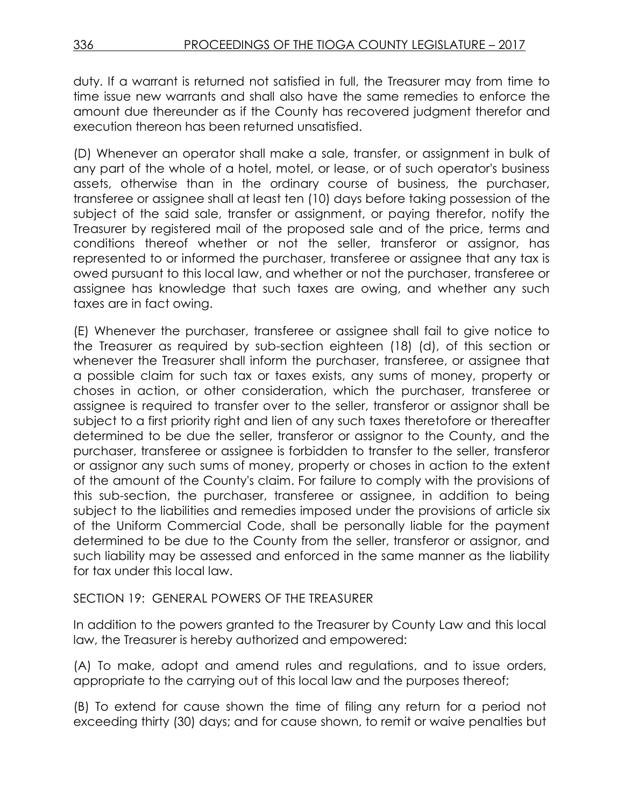duty. If a warrant is returned not satisfied in full, the Treasurer may from time to time issue new warrants and shall also have the same remedies to enforce the amount due thereunder as if the County has recovered judgment therefor and execution thereon has been returned unsatisfied.

(D) Whenever an operator shall make a sale, transfer, or assignment in bulk of any part of the whole of a hotel, motel, or lease, or of such operator's business assets, otherwise than in the ordinary course of business, the purchaser, transferee or assignee shall at least ten (10) days before taking possession of the subject of the said sale, transfer or assignment, or paying therefor, notify the Treasurer by registered mail of the proposed sale and of the price, terms and conditions thereof whether or not the seller, transferor or assignor, has represented to or informed the purchaser, transferee or assignee that any tax is owed pursuant to this local law, and whether or not the purchaser, transferee or assignee has knowledge that such taxes are owing, and whether any such taxes are in fact owing.

(E) Whenever the purchaser, transferee or assignee shall fail to give notice to the Treasurer as required by sub-section eighteen (18) (d), of this section or whenever the Treasurer shall inform the purchaser, transferee, or assignee that a possible claim for such tax or taxes exists, any sums of money, property or choses in action, or other consideration, which the purchaser, transferee or assignee is required to transfer over to the seller, transferor or assignor shall be subject to a first priority right and lien of any such taxes theretofore or thereafter determined to be due the seller, transferor or assignor to the County, and the purchaser, transferee or assignee is forbidden to transfer to the seller, transferor or assignor any such sums of money, property or choses in action to the extent of the amount of the County's claim. For failure to comply with the provisions of this sub-section, the purchaser, transferee or assignee, in addition to being subject to the liabilities and remedies imposed under the provisions of article six of the Uniform Commercial Code, shall be personally liable for the payment determined to be due to the County from the seller, transferor or assignor, and such liability may be assessed and enforced in the same manner as the liability for tax under this local law.

## SECTION 19: GENERAL POWERS OF THE TREASURER

In addition to the powers granted to the Treasurer by County Law and this local law, the Treasurer is hereby authorized and empowered:

(A) To make, adopt and amend rules and regulations, and to issue orders, appropriate to the carrying out of this local law and the purposes thereof;

(B) To extend for cause shown the time of filing any return for a period not exceeding thirty (30) days; and for cause shown, to remit or waive penalties but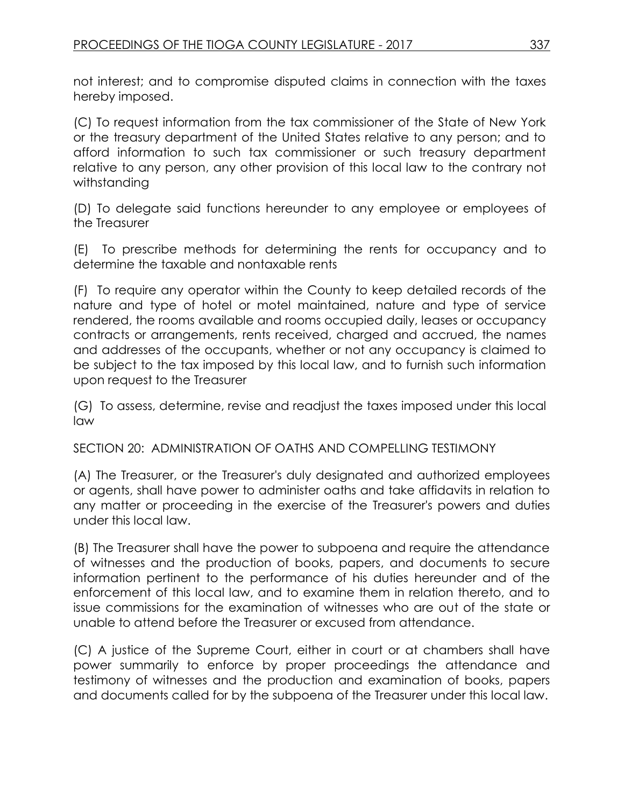not interest; and to compromise disputed claims in connection with the taxes hereby imposed.

(C) To request information from the tax commissioner of the State of New York or the treasury department of the United States relative to any person; and to afford information to such tax commissioner or such treasury department relative to any person, any other provision of this local law to the contrary not withstanding

(D) To delegate said functions hereunder to any employee or employees of the Treasurer

(E) To prescribe methods for determining the rents for occupancy and to determine the taxable and nontaxable rents

(F) To require any operator within the County to keep detailed records of the nature and type of hotel or motel maintained, nature and type of service rendered, the rooms available and rooms occupied daily, leases or occupancy contracts or arrangements, rents received, charged and accrued, the names and addresses of the occupants, whether or not any occupancy is claimed to be subject to the tax imposed by this local law, and to furnish such information upon request to the Treasurer

(G) To assess, determine, revise and readjust the taxes imposed under this local law

SECTION 20: ADMINISTRATION OF OATHS AND COMPELLING TESTIMONY

(A) The Treasurer, or the Treasurer's duly designated and authorized employees or agents, shall have power to administer oaths and take affidavits in relation to any matter or proceeding in the exercise of the Treasurer's powers and duties under this local law.

(B) The Treasurer shall have the power to subpoena and require the attendance of witnesses and the production of books, papers, and documents to secure information pertinent to the performance of his duties hereunder and of the enforcement of this local law, and to examine them in relation thereto, and to issue commissions for the examination of witnesses who are out of the state or unable to attend before the Treasurer or excused from attendance.

(C) A justice of the Supreme Court, either in court or at chambers shall have power summarily to enforce by proper proceedings the attendance and testimony of witnesses and the production and examination of books, papers and documents called for by the subpoena of the Treasurer under this local law.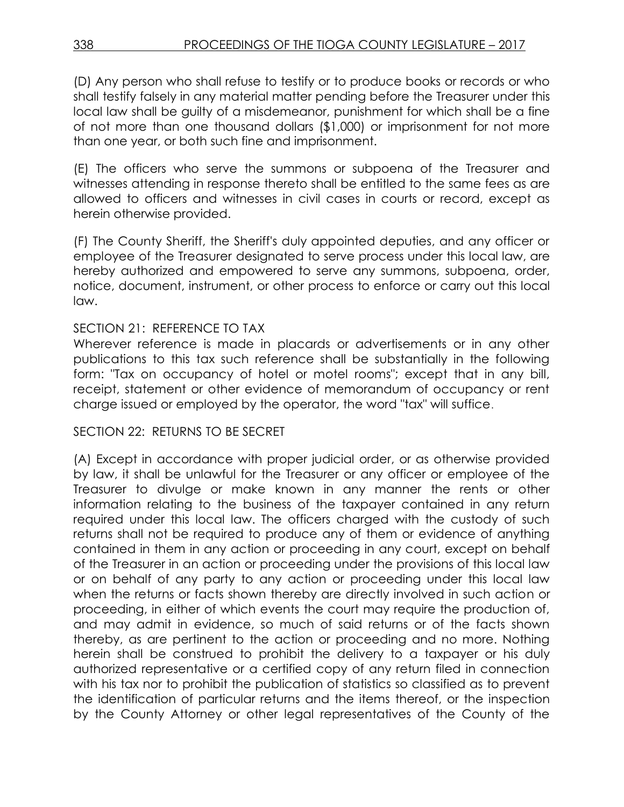(D) Any person who shall refuse to testify or to produce books or records or who shall testify falsely in any material matter pending before the Treasurer under this local law shall be guilty of a misdemeanor, punishment for which shall be a fine of not more than one thousand dollars (\$1,000) or imprisonment for not more than one year, or both such fine and imprisonment.

(E) The officers who serve the summons or subpoena of the Treasurer and witnesses attending in response thereto shall be entitled to the same fees as are allowed to officers and witnesses in civil cases in courts or record, except as herein otherwise provided.

(F) The County Sheriff, the Sheriff's duly appointed deputies, and any officer or employee of the Treasurer designated to serve process under this local law, are hereby authorized and empowered to serve any summons, subpoena, order, notice, document, instrument, or other process to enforce or carry out this local law.

### SECTION 21: REFERENCE TO TAX

Wherever reference is made in placards or advertisements or in any other publications to this tax such reference shall be substantially in the following form: "Tax on occupancy of hotel or motel rooms"; except that in any bill, receipt, statement or other evidence of memorandum of occupancy or rent charge issued or employed by the operator, the word "tax" will suffice.

## SECTION 22: RETURNS TO BE SECRET

(A) Except in accordance with proper judicial order, or as otherwise provided by law, it shall be unlawful for the Treasurer or any officer or employee of the Treasurer to divulge or make known in any manner the rents or other information relating to the business of the taxpayer contained in any return required under this local law. The officers charged with the custody of such returns shall not be required to produce any of them or evidence of anything contained in them in any action or proceeding in any court, except on behalf of the Treasurer in an action or proceeding under the provisions of this local law or on behalf of any party to any action or proceeding under this local law when the returns or facts shown thereby are directly involved in such action or proceeding, in either of which events the court may require the production of, and may admit in evidence, so much of said returns or of the facts shown thereby, as are pertinent to the action or proceeding and no more. Nothing herein shall be construed to prohibit the delivery to a taxpayer or his duly authorized representative or a certified copy of any return filed in connection with his tax nor to prohibit the publication of statistics so classified as to prevent the identification of particular returns and the items thereof, or the inspection by the County Attorney or other legal representatives of the County of the